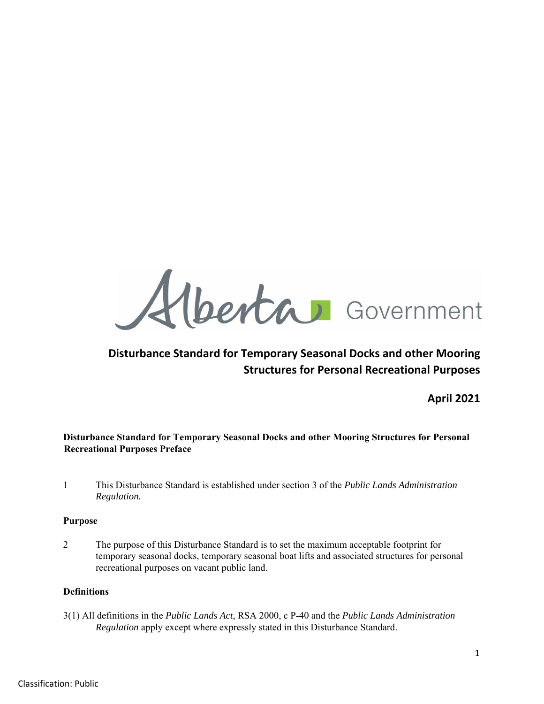Alberta Government

# **Disturbance Standard for Temporary Seasonal Docks and other Mooring Structures for Personal Recreational Purposes**

**April 2021** 

## **Disturbance Standard for Temporary Seasonal Docks and other Mooring Structures for Personal Recreational Purposes Preface**

1 This Disturbance Standard is established under section 3 of the *Public Lands Administration Regulation.*

### **Purpose**

2 The purpose of this Disturbance Standard is to set the maximum acceptable footprint for temporary seasonal docks, temporary seasonal boat lifts and associated structures for personal recreational purposes on vacant public land.

### **Definitions**

3(1) All definitions in the *Public Lands Act*, RSA 2000, c P-40 and the *Public Lands Administration Regulation* apply except where expressly stated in this Disturbance Standard.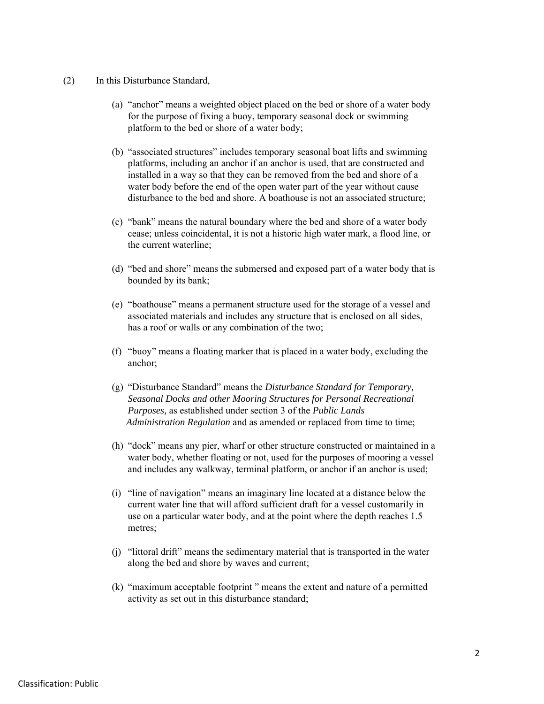- (2) In this Disturbance Standard,
	- (a) "anchor" means a weighted object placed on the bed or shore of a water body for the purpose of fixing a buoy, temporary seasonal dock or swimming platform to the bed or shore of a water body;
	- (b) "associated structures" includes temporary seasonal boat lifts and swimming platforms, including an anchor if an anchor is used, that are constructed and installed in a way so that they can be removed from the bed and shore of a water body before the end of the open water part of the year without cause disturbance to the bed and shore. A boathouse is not an associated structure;
	- (c) "bank" means the natural boundary where the bed and shore of a water body cease; unless coincidental, it is not a historic high water mark, a flood line, or the current waterline;
	- (d) "bed and shore" means the submersed and exposed part of a water body that is bounded by its bank;
	- (e) "boathouse" means a permanent structure used for the storage of a vessel and associated materials and includes any structure that is enclosed on all sides, has a roof or walls or any combination of the two;
	- (f) "buoy" means a floating marker that is placed in a water body, excluding the anchor;
	- (g) "Disturbance Standard" means the *Disturbance Standard for Temporary, Seasonal Docks and other Mooring Structures for Personal Recreational Purposes,* as established under section 3 of the *Public Lands Administration Regulation* and as amended or replaced from time to time;
	- (h) "dock" means any pier, wharf or other structure constructed or maintained in a water body, whether floating or not, used for the purposes of mooring a vessel and includes any walkway, terminal platform, or anchor if an anchor is used;
	- (i) "line of navigation" means an imaginary line located at a distance below the current water line that will afford sufficient draft for a vessel customarily in use on a particular water body, and at the point where the depth reaches 1.5 metres;
	- (j) "littoral drift" means the sedimentary material that is transported in the water along the bed and shore by waves and current;
	- (k) "maximum acceptable footprint " means the extent and nature of a permitted activity as set out in this disturbance standard;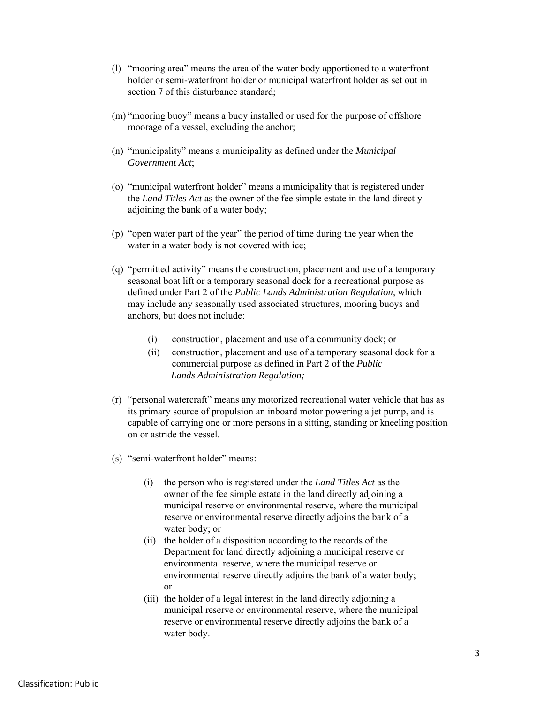- (l) "mooring area" means the area of the water body apportioned to a waterfront holder or semi-waterfront holder or municipal waterfront holder as set out in section 7 of this disturbance standard;
- (m) "mooring buoy" means a buoy installed or used for the purpose of offshore moorage of a vessel, excluding the anchor;
- (n) "municipality" means a municipality as defined under the *Municipal Government Act*;
- (o) "municipal waterfront holder" means a municipality that is registered under the *Land Titles Act* as the owner of the fee simple estate in the land directly adjoining the bank of a water body;
- (p) "open water part of the year" the period of time during the year when the water in a water body is not covered with ice;
- (q) "permitted activity" means the construction, placement and use of a temporary seasonal boat lift or a temporary seasonal dock for a recreational purpose as defined under Part 2 of the *Public Lands Administration Regulation*, which may include any seasonally used associated structures, mooring buoys and anchors, but does not include:
	- (i) construction, placement and use of a community dock; or
	- (ii) construction, placement and use of a temporary seasonal dock for a commercial purpose as defined in Part 2 of the *Public Lands Administration Regulation;*
- (r) "personal watercraft" means any motorized recreational water vehicle that has as its primary source of propulsion an inboard motor powering a jet pump, and is capable of carrying one or more persons in a sitting, standing or kneeling position on or astride the vessel.
- (s) "semi-waterfront holder" means:
	- (i) the person who is registered under the *Land Titles Act* as the owner of the fee simple estate in the land directly adjoining a municipal reserve or environmental reserve, where the municipal reserve or environmental reserve directly adjoins the bank of a water body; or
	- (ii) the holder of a disposition according to the records of the Department for land directly adjoining a municipal reserve or environmental reserve, where the municipal reserve or environmental reserve directly adjoins the bank of a water body; or
	- (iii) the holder of a legal interest in the land directly adjoining a municipal reserve or environmental reserve, where the municipal reserve or environmental reserve directly adjoins the bank of a water body.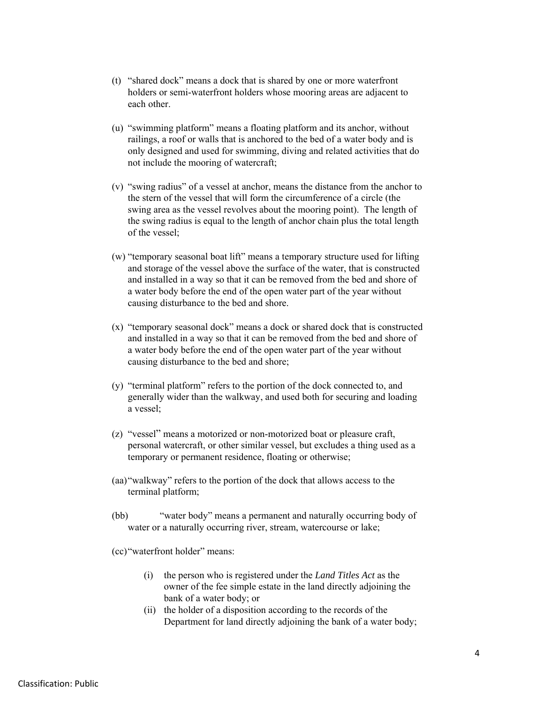- (t) "shared dock" means a dock that is shared by one or more waterfront holders or semi-waterfront holders whose mooring areas are adjacent to each other.
- (u) "swimming platform" means a floating platform and its anchor, without railings, a roof or walls that is anchored to the bed of a water body and is only designed and used for swimming, diving and related activities that do not include the mooring of watercraft;
- (v) "swing radius" of a vessel at anchor, means the distance from the anchor to the stern of the vessel that will form the circumference of a circle (the swing area as the vessel revolves about the mooring point). The length of the swing radius is equal to the length of anchor chain plus the total length of the vessel;
- (w) "temporary seasonal boat lift" means a temporary structure used for lifting and storage of the vessel above the surface of the water, that is constructed and installed in a way so that it can be removed from the bed and shore of a water body before the end of the open water part of the year without causing disturbance to the bed and shore.
- (x) "temporary seasonal dock" means a dock or shared dock that is constructed and installed in a way so that it can be removed from the bed and shore of a water body before the end of the open water part of the year without causing disturbance to the bed and shore;
- (y) "terminal platform" refers to the portion of the dock connected to, and generally wider than the walkway, and used both for securing and loading a vessel;
- (z) "vessel" means a motorized or non-motorized boat or pleasure craft, personal watercraft, or other similar vessel, but excludes a thing used as a temporary or permanent residence, floating or otherwise;
- (aa)"walkway" refers to the portion of the dock that allows access to the terminal platform;
- (bb) "water body" means a permanent and naturally occurring body of water or a naturally occurring river, stream, watercourse or lake;

(cc)"waterfront holder" means:

- (i) the person who is registered under the *Land Titles Act* as the owner of the fee simple estate in the land directly adjoining the bank of a water body; or
- (ii) the holder of a disposition according to the records of the Department for land directly adjoining the bank of a water body;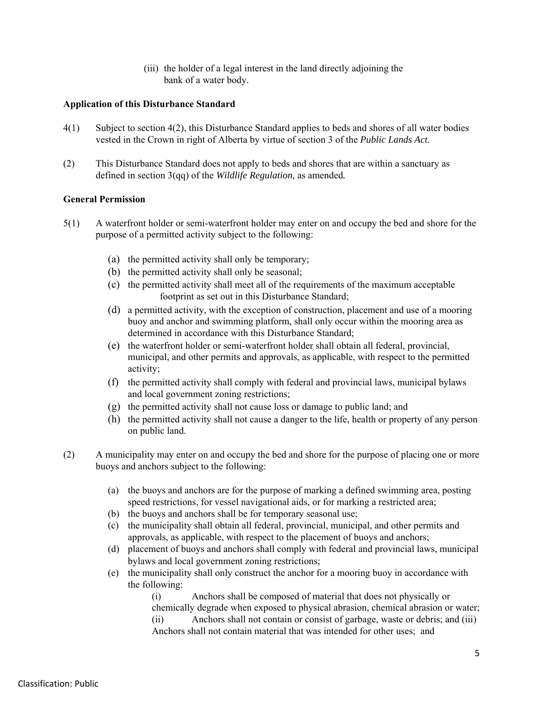(iii) the holder of a legal interest in the land directly adjoining the bank of a water body.

### **Application of this Disturbance Standard**

- 4(1) Subject to section 4(2), this Disturbance Standard applies to beds and shores of all water bodies vested in the Crown in right of Alberta by virtue of section 3 of the *Public Lands Act*.
- (2) This Disturbance Standard does not apply to beds and shores that are within a sanctuary as defined in section 3(qq) of the *Wildlife Regulation,* as amended*.*

### **General Permission**

- 5(1) A waterfront holder or semi-waterfront holder may enter on and occupy the bed and shore for the purpose of a permitted activity subject to the following:
	- (a) the permitted activity shall only be temporary;
	- (b) the permitted activity shall only be seasonal;
	- (c) the permitted activity shall meet all of the requirements of the maximum acceptable footprint as set out in this Disturbance Standard;
	- (d) a permitted activity, with the exception of construction, placement and use of a mooring buoy and anchor and swimming platform, shall only occur within the mooring area as determined in accordance with this Disturbance Standard;
	- (e) the waterfront holder or semi-waterfront holder shall obtain all federal, provincial, municipal, and other permits and approvals, as applicable, with respect to the permitted activity;
	- (f) the permitted activity shall comply with federal and provincial laws, municipal bylaws and local government zoning restrictions;
	- (g) the permitted activity shall not cause loss or damage to public land; and
	- (h) the permitted activity shall not cause a danger to the life, health or property of any person on public land.
- (2)A municipality may enter on and occupy the bed and shore for the purpose of placing one or more buoys and anchors subject to the following:
	- (a) the buoys and anchors are for the purpose of marking a defined swimming area, posting speed restrictions, for vessel navigational aids, or for marking a restricted area;
	- (b) the buoys and anchors shall be for temporary seasonal use;
	- (c) the municipality shall obtain all federal, provincial, municipal, and other permits and approvals, as applicable, with respect to the placement of buoys and anchors;
	- (d) placement of buoys and anchors shall comply with federal and provincial laws, municipal bylaws and local government zoning restrictions;
	- (e) the municipality shall only construct the anchor for a mooring buoy in accordance with the following:

(i) Anchors shall be composed of material that does not physically or chemically degrade when exposed to physical abrasion, chemical abrasion or water; (ii) Anchors shall not contain or consist of garbage, waste or debris; and (iii)

Anchors shall not contain material that was intended for other uses; and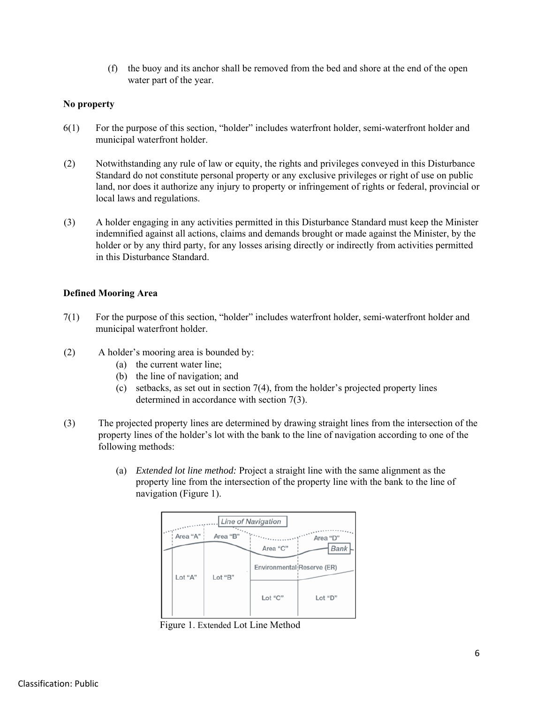(f) the buoy and its anchor shall be removed from the bed and shore at the end of the open water part of the year.

### **No property**

- 6(1) For the purpose of this section, "holder" includes waterfront holder, semi-waterfront holder and municipal waterfront holder.
- (2) Notwithstanding any rule of law or equity, the rights and privileges conveyed in this Disturbance Standard do not constitute personal property or any exclusive privileges or right of use on public land, nor does it authorize any injury to property or infringement of rights or federal, provincial or local laws and regulations.
- (3) A holder engaging in any activities permitted in this Disturbance Standard must keep the Minister indemnified against all actions, claims and demands brought or made against the Minister, by the holder or by any third party, for any losses arising directly or indirectly from activities permitted in this Disturbance Standard.

### **Defined Mooring Area**

- 7(1) For the purpose of this section, "holder" includes waterfront holder, semi-waterfront holder and municipal waterfront holder.
- (2) A holder's mooring area is bounded by:
	- (a) the current water line;
	- (b) the line of navigation; and
	- (c) setbacks, as set out in section 7(4), from the holder's projected property lines determined in accordance with section 7(3).
- (3) The projected property lines are determined by drawing straight lines from the intersection of the property lines of the holder's lot with the bank to the line of navigation according to one of the following methods:
	- (a) *Extended lot line method:* Project a straight line with the same alignment as the property line from the intersection of the property line with the bank to the line of navigation (Figure 1).



Figure 1. Extended Lot Line Method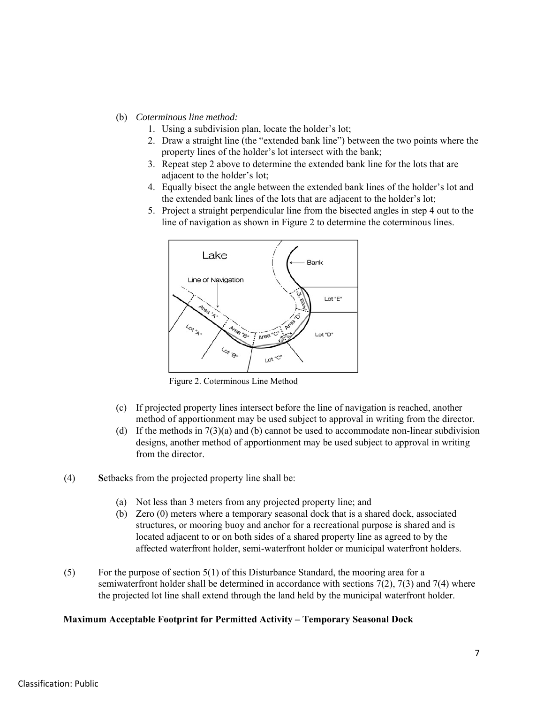- (b) *Coterminous line method:*
	- 1. Using a subdivision plan, locate the holder's lot;
	- 2. Draw a straight line (the "extended bank line") between the two points where the property lines of the holder's lot intersect with the bank;
	- 3. Repeat step 2 above to determine the extended bank line for the lots that are adjacent to the holder's lot;
	- 4. Equally bisect the angle between the extended bank lines of the holder's lot and the extended bank lines of the lots that are adjacent to the holder's lot;
	- 5. Project a straight perpendicular line from the bisected angles in step 4 out to the line of navigation as shown in Figure 2 to determine the coterminous lines.



Figure 2. Coterminous Line Method

- (c) If projected property lines intersect before the line of navigation is reached, another method of apportionment may be used subject to approval in writing from the director.
- (d) If the methods in  $7(3)(a)$  and (b) cannot be used to accommodate non-linear subdivision designs, another method of apportionment may be used subject to approval in writing from the director.
- (4) **S**etbacks from the projected property line shall be:
	- (a) Not less than 3 meters from any projected property line; and
	- (b) Zero (0) meters where a temporary seasonal dock that is a shared dock, associated structures, or mooring buoy and anchor for a recreational purpose is shared and is located adjacent to or on both sides of a shared property line as agreed to by the affected waterfront holder, semi-waterfront holder or municipal waterfront holders.
- (5) For the purpose of section 5(1) of this Disturbance Standard, the mooring area for a semiwaterfront holder shall be determined in accordance with sections 7(2), 7(3) and 7(4) where the projected lot line shall extend through the land held by the municipal waterfront holder.

#### **Maximum Acceptable Footprint for Permitted Activity – Temporary Seasonal Dock**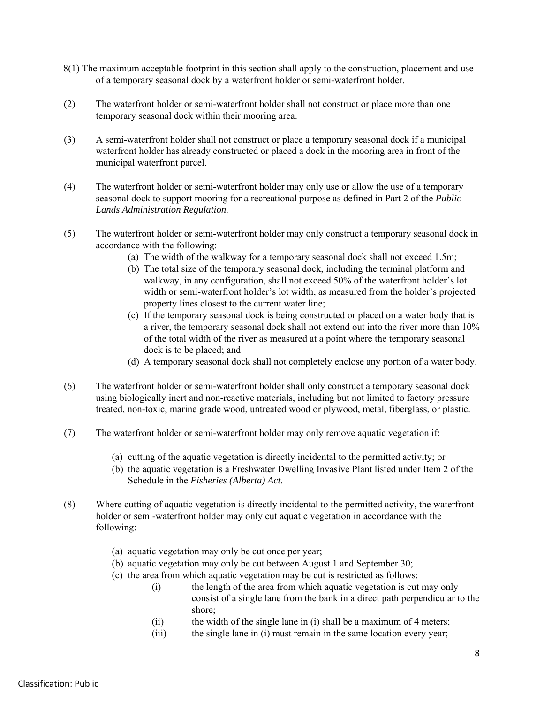- 8(1) The maximum acceptable footprint in this section shall apply to the construction, placement and use of a temporary seasonal dock by a waterfront holder or semi-waterfront holder.
- (2) The waterfront holder or semi-waterfront holder shall not construct or place more than one temporary seasonal dock within their mooring area.
- (3) A semi-waterfront holder shall not construct or place a temporary seasonal dock if a municipal waterfront holder has already constructed or placed a dock in the mooring area in front of the municipal waterfront parcel.
- (4) The waterfront holder or semi-waterfront holder may only use or allow the use of a temporary seasonal dock to support mooring for a recreational purpose as defined in Part 2 of the *Public Lands Administration Regulation.*
- (5) The waterfront holder or semi-waterfront holder may only construct a temporary seasonal dock in accordance with the following:
	- (a) The width of the walkway for a temporary seasonal dock shall not exceed 1.5m;
	- (b) The total size of the temporary seasonal dock, including the terminal platform and walkway, in any configuration, shall not exceed 50% of the waterfront holder's lot width or semi-waterfront holder's lot width, as measured from the holder's projected property lines closest to the current water line;
	- (c) If the temporary seasonal dock is being constructed or placed on a water body that is a river, the temporary seasonal dock shall not extend out into the river more than 10% of the total width of the river as measured at a point where the temporary seasonal dock is to be placed; and
	- (d) A temporary seasonal dock shall not completely enclose any portion of a water body.
- (6) The waterfront holder or semi-waterfront holder shall only construct a temporary seasonal dock using biologically inert and non-reactive materials, including but not limited to factory pressure treated, non-toxic, marine grade wood, untreated wood or plywood, metal, fiberglass, or plastic.
- (7) The waterfront holder or semi-waterfront holder may only remove aquatic vegetation if:
	- (a) cutting of the aquatic vegetation is directly incidental to the permitted activity; or
	- (b) the aquatic vegetation is a Freshwater Dwelling Invasive Plant listed under Item 2 of the Schedule in the *Fisheries (Alberta) Act*.
- (8) Where cutting of aquatic vegetation is directly incidental to the permitted activity, the waterfront holder or semi-waterfront holder may only cut aquatic vegetation in accordance with the following:
	- (a) aquatic vegetation may only be cut once per year;
	- (b) aquatic vegetation may only be cut between August 1 and September 30;
	- (c) the area from which aquatic vegetation may be cut is restricted as follows:
		- (i) the length of the area from which aquatic vegetation is cut may only consist of a single lane from the bank in a direct path perpendicular to the shore;
		- (ii) the width of the single lane in (i) shall be a maximum of 4 meters;
		- (iii) the single lane in (i) must remain in the same location every year;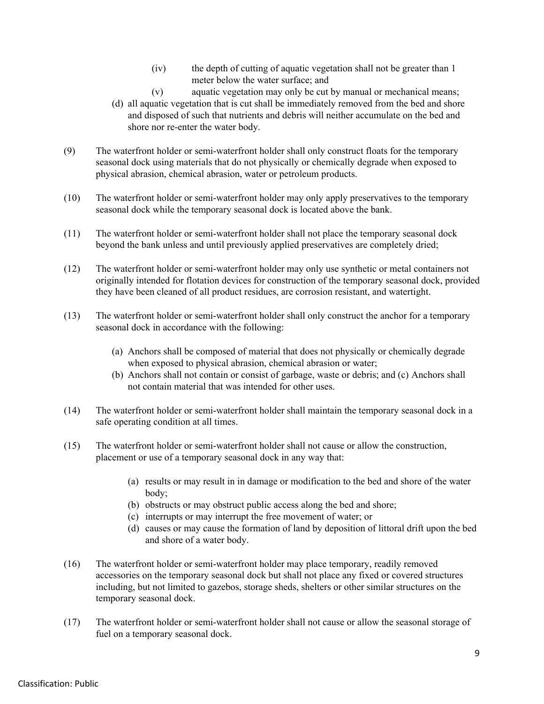- (iv) the depth of cutting of aquatic vegetation shall not be greater than 1 meter below the water surface; and
- (v) aquatic vegetation may only be cut by manual or mechanical means;
- (d) all aquatic vegetation that is cut shall be immediately removed from the bed and shore and disposed of such that nutrients and debris will neither accumulate on the bed and shore nor re-enter the water body.
- (9) The waterfront holder or semi-waterfront holder shall only construct floats for the temporary seasonal dock using materials that do not physically or chemically degrade when exposed to physical abrasion, chemical abrasion, water or petroleum products.
- (10) The waterfront holder or semi-waterfront holder may only apply preservatives to the temporary seasonal dock while the temporary seasonal dock is located above the bank.
- (11) The waterfront holder or semi-waterfront holder shall not place the temporary seasonal dock beyond the bank unless and until previously applied preservatives are completely dried;
- (12) The waterfront holder or semi-waterfront holder may only use synthetic or metal containers not originally intended for flotation devices for construction of the temporary seasonal dock, provided they have been cleaned of all product residues, are corrosion resistant, and watertight.
- (13) The waterfront holder or semi-waterfront holder shall only construct the anchor for a temporary seasonal dock in accordance with the following:
	- (a) Anchors shall be composed of material that does not physically or chemically degrade when exposed to physical abrasion, chemical abrasion or water;
	- (b) Anchors shall not contain or consist of garbage, waste or debris; and (c) Anchors shall not contain material that was intended for other uses.
- (14) The waterfront holder or semi-waterfront holder shall maintain the temporary seasonal dock in a safe operating condition at all times.
- (15) The waterfront holder or semi-waterfront holder shall not cause or allow the construction, placement or use of a temporary seasonal dock in any way that:
	- (a) results or may result in in damage or modification to the bed and shore of the water body;
	- (b) obstructs or may obstruct public access along the bed and shore;
	- (c) interrupts or may interrupt the free movement of water; or
	- (d) causes or may cause the formation of land by deposition of littoral drift upon the bed and shore of a water body.
- (16) The waterfront holder or semi-waterfront holder may place temporary, readily removed accessories on the temporary seasonal dock but shall not place any fixed or covered structures including, but not limited to gazebos, storage sheds, shelters or other similar structures on the temporary seasonal dock.
- (17) The waterfront holder or semi-waterfront holder shall not cause or allow the seasonal storage of fuel on a temporary seasonal dock.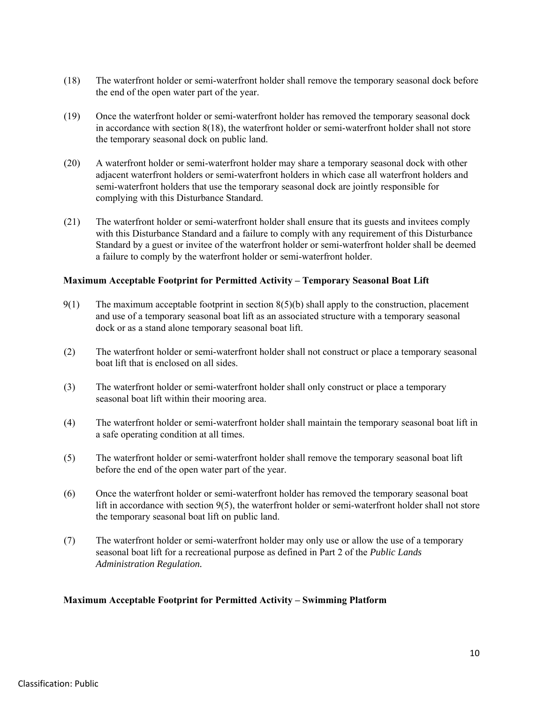- (18) The waterfront holder or semi-waterfront holder shall remove the temporary seasonal dock before the end of the open water part of the year.
- (19) Once the waterfront holder or semi-waterfront holder has removed the temporary seasonal dock in accordance with section 8(18), the waterfront holder or semi-waterfront holder shall not store the temporary seasonal dock on public land.
- (20) A waterfront holder or semi-waterfront holder may share a temporary seasonal dock with other adjacent waterfront holders or semi-waterfront holders in which case all waterfront holders and semi-waterfront holders that use the temporary seasonal dock are jointly responsible for complying with this Disturbance Standard.
- (21) The waterfront holder or semi-waterfront holder shall ensure that its guests and invitees comply with this Disturbance Standard and a failure to comply with any requirement of this Disturbance Standard by a guest or invitee of the waterfront holder or semi-waterfront holder shall be deemed a failure to comply by the waterfront holder or semi-waterfront holder.

### **Maximum Acceptable Footprint for Permitted Activity – Temporary Seasonal Boat Lift**

- 9(1) The maximum acceptable footprint in section 8(5)(b) shall apply to the construction, placement and use of a temporary seasonal boat lift as an associated structure with a temporary seasonal dock or as a stand alone temporary seasonal boat lift.
- (2) The waterfront holder or semi-waterfront holder shall not construct or place a temporary seasonal boat lift that is enclosed on all sides.
- (3) The waterfront holder or semi-waterfront holder shall only construct or place a temporary seasonal boat lift within their mooring area.
- (4) The waterfront holder or semi-waterfront holder shall maintain the temporary seasonal boat lift in a safe operating condition at all times.
- (5) The waterfront holder or semi-waterfront holder shall remove the temporary seasonal boat lift before the end of the open water part of the year.
- (6) Once the waterfront holder or semi-waterfront holder has removed the temporary seasonal boat lift in accordance with section 9(5), the waterfront holder or semi-waterfront holder shall not store the temporary seasonal boat lift on public land.
- (7) The waterfront holder or semi-waterfront holder may only use or allow the use of a temporary seasonal boat lift for a recreational purpose as defined in Part 2 of the *Public Lands Administration Regulation.*

### **Maximum Acceptable Footprint for Permitted Activity – Swimming Platform**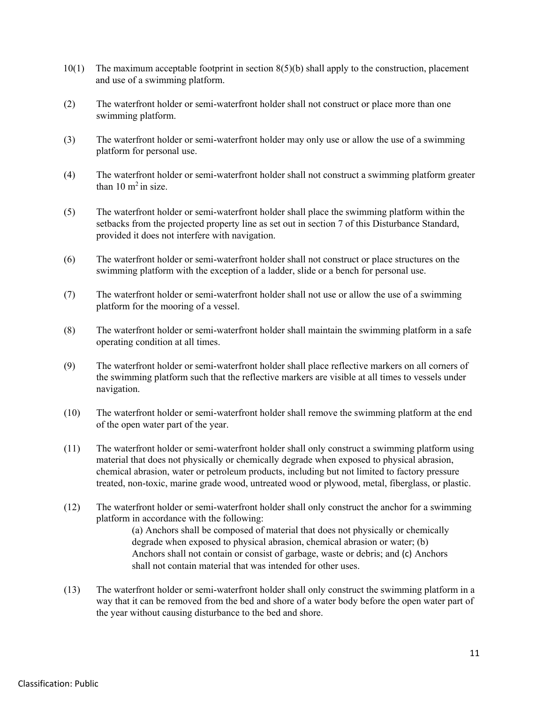- $10(1)$  The maximum acceptable footprint in section  $8(5)(b)$  shall apply to the construction, placement and use of a swimming platform.
- (2) The waterfront holder or semi-waterfront holder shall not construct or place more than one swimming platform.
- (3) The waterfront holder or semi-waterfront holder may only use or allow the use of a swimming platform for personal use.
- (4) The waterfront holder or semi-waterfront holder shall not construct a swimming platform greater than  $10 \text{ m}^2$  in size.
- (5) The waterfront holder or semi-waterfront holder shall place the swimming platform within the setbacks from the projected property line as set out in section 7 of this Disturbance Standard, provided it does not interfere with navigation.
- (6) The waterfront holder or semi-waterfront holder shall not construct or place structures on the swimming platform with the exception of a ladder, slide or a bench for personal use.
- (7) The waterfront holder or semi-waterfront holder shall not use or allow the use of a swimming platform for the mooring of a vessel.
- (8) The waterfront holder or semi-waterfront holder shall maintain the swimming platform in a safe operating condition at all times.
- (9) The waterfront holder or semi-waterfront holder shall place reflective markers on all corners of the swimming platform such that the reflective markers are visible at all times to vessels under navigation.
- (10) The waterfront holder or semi-waterfront holder shall remove the swimming platform at the end of the open water part of the year.
- (11) The waterfront holder or semi-waterfront holder shall only construct a swimming platform using material that does not physically or chemically degrade when exposed to physical abrasion, chemical abrasion, water or petroleum products, including but not limited to factory pressure treated, non-toxic, marine grade wood, untreated wood or plywood, metal, fiberglass, or plastic.
- (12) The waterfront holder or semi-waterfront holder shall only construct the anchor for a swimming platform in accordance with the following:

(a) Anchors shall be composed of material that does not physically or chemically degrade when exposed to physical abrasion, chemical abrasion or water; (b) Anchors shall not contain or consist of garbage, waste or debris; and (c) Anchors shall not contain material that was intended for other uses.

(13) The waterfront holder or semi-waterfront holder shall only construct the swimming platform in a way that it can be removed from the bed and shore of a water body before the open water part of the year without causing disturbance to the bed and shore.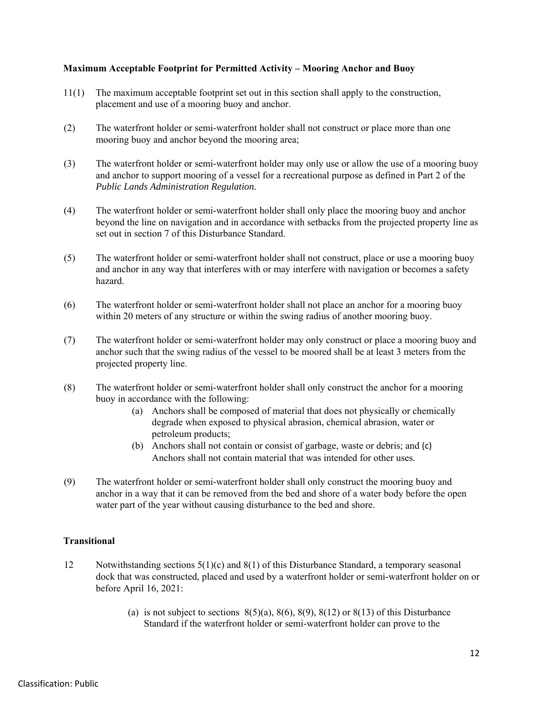### **Maximum Acceptable Footprint for Permitted Activity – Mooring Anchor and Buoy**

- 11(1) The maximum acceptable footprint set out in this section shall apply to the construction, placement and use of a mooring buoy and anchor.
- (2) The waterfront holder or semi-waterfront holder shall not construct or place more than one mooring buoy and anchor beyond the mooring area;
- (3) The waterfront holder or semi-waterfront holder may only use or allow the use of a mooring buoy and anchor to support mooring of a vessel for a recreational purpose as defined in Part 2 of the *Public Lands Administration Regulation.*
- (4) The waterfront holder or semi-waterfront holder shall only place the mooring buoy and anchor beyond the line on navigation and in accordance with setbacks from the projected property line as set out in section 7 of this Disturbance Standard.
- (5) The waterfront holder or semi-waterfront holder shall not construct, place or use a mooring buoy and anchor in any way that interferes with or may interfere with navigation or becomes a safety hazard.
- (6) The waterfront holder or semi-waterfront holder shall not place an anchor for a mooring buoy within 20 meters of any structure or within the swing radius of another mooring buoy.
- (7) The waterfront holder or semi-waterfront holder may only construct or place a mooring buoy and anchor such that the swing radius of the vessel to be moored shall be at least 3 meters from the projected property line.
- (8) The waterfront holder or semi-waterfront holder shall only construct the anchor for a mooring buoy in accordance with the following:
	- (a) Anchors shall be composed of material that does not physically or chemically degrade when exposed to physical abrasion, chemical abrasion, water or petroleum products;
	- (b) Anchors shall not contain or consist of garbage, waste or debris; and (c) Anchors shall not contain material that was intended for other uses.
- (9) The waterfront holder or semi-waterfront holder shall only construct the mooring buoy and anchor in a way that it can be removed from the bed and shore of a water body before the open water part of the year without causing disturbance to the bed and shore.

### **Transitional**

- 12 Notwithstanding sections  $5(1)(c)$  and  $8(1)$  of this Disturbance Standard, a temporary seasonal dock that was constructed, placed and used by a waterfront holder or semi-waterfront holder on or before April 16, 2021:
	- (a) is not subject to sections  $8(5)(a)$ ,  $8(6)$ ,  $8(9)$ ,  $8(12)$  or  $8(13)$  of this Disturbance Standard if the waterfront holder or semi-waterfront holder can prove to the